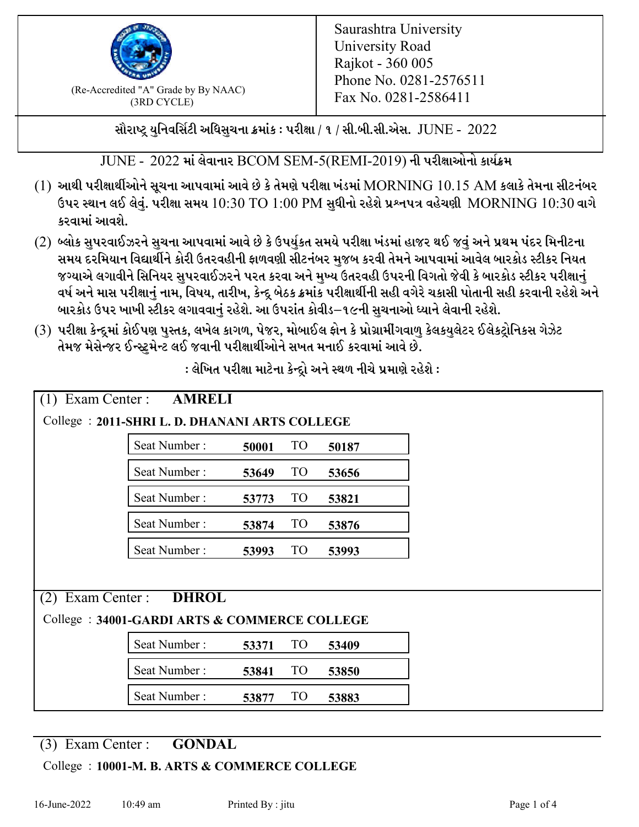

 $F_{\text{R}}$  (Re-Accredited "A" Grade by By NAAC)<br>(3PD CVCLE)<br> $F_{\text{R}}$  No. 0281-2586411 (3RD CYCLE)

સૌરાષ્ટ્ર યુનિવર્સિટી અધિસુચના ક્રમાંક : પરીક્ષા / ૧ / સી.બી.સી.એસ.  $\,$  JUNE -  $\,2022$ 

 $JUNE - 2022$  માં લેવાનાર BCOM SEM-5(REMI-2019) ની પરીક્ષાઓનો કાર્યક્રમ

- $(1)$  આથી પરીક્ષાર્થીઓને સૂચના આપવામાં આવે છે કે તેમણે પરીક્ષા ખંડમાં  $\operatorname{MORNING}$   $10.15$   $\operatorname{AM}$  કલાકે તેમના સીટનંબર ઉપર સ્થાન લઈ લેવું. પરીક્ષા સમય  $10:30 \text{ TO } 1:00 \text{ PM}$  સુધીનો રહેશે પ્રશ્નપત્ર વહેચણી  $\text{MORNING } 10:30$  વાગે કરવામાં આવશે.
- (2) બ્લોક સુપરવાઈઝરને સુચના આપવામાં આવે છે કે ઉપર્યુકત સમયે પરીક્ષા ખંડમાં હાજર થઈ જવું અને પ્રથમ પંદર મિનીટના સમય દરમિયાન વિદ્યાર્થીને કોરી ઉતરવહીની ફાળવણી સીટનંબર મજબ કરવી તેમને આપવામાં આવેલ બારકોડ સ્ટીકર નિયત જગ્યાએ લગાવીને સિનિયર સુપરવાઈઝરને પરત કરવા અને મુખ્ય ઉતરવહી ઉપરની વિગતો જેવી કે બારકોડ સ્ટીકર પરીક્ષ<u>ાન</u>ં વર્ષ અને માસ પરીક્ષાનું નામ, વિષય, તારીખ, કેન્દ્ર બેઠક ક્રમાંક પરીક્ષાર્થીની સહી વગેરે ચકાસી પોતાની સહી કરવાની રહેશે અને બારકોડ ઉપર ખાખી સ્ટીકર લગાવવાનં રહેશે. આ ઉપરાંત કોવીડ–૧૯ની સચનાઓ ધ્યાને લેવાની રહેશે.
- (3) પરીક્ષા કેન્દ્રમાં કોઈપણ પુસ્તક, લખેલ કાગળ, પેજર, મોબાઈલ ફોન કે પ્રોગ્રામીંગવાળુ કેલકયુલેટર ઈલેકટ્રોનિકસ ગેઝેટ તેમજ મેસેન્જર ઈન્સ્ટમેન્ટ લઈ જવાની પરીક્ષાર્થીઓને સખત મનાઈ કરવામાં આવે છે.

| $(1)$ Exam Center :<br><b>AMRELI</b>         |                                                |       |                 |       |  |  |
|----------------------------------------------|------------------------------------------------|-------|-----------------|-------|--|--|
|                                              | College : 2011-SHRI L. D. DHANANI ARTS COLLEGE |       |                 |       |  |  |
|                                              | Seat Number:                                   | 50001 | <b>TO</b>       | 50187 |  |  |
|                                              | Seat Number:                                   | 53649 | TO              | 53656 |  |  |
|                                              | Seat Number:                                   | 53773 | TO              | 53821 |  |  |
|                                              | Seat Number:                                   | 53874 | <b>TO</b>       | 53876 |  |  |
|                                              | Seat Number:                                   | 53993 | <b>TO</b>       | 53993 |  |  |
|                                              |                                                |       |                 |       |  |  |
| $(2)$ Exam Center:<br><b>DHROL</b>           |                                                |       |                 |       |  |  |
| College: 34001-GARDI ARTS & COMMERCE COLLEGE |                                                |       |                 |       |  |  |
|                                              | Seat Number:                                   | 53371 | <b>TO</b>       | 53409 |  |  |
|                                              | Seat Number:                                   | 53841 | <b>TO</b>       | 53850 |  |  |
|                                              | Seat Number:                                   | 53877 | TO <sub>1</sub> | 53883 |  |  |

: લેખિત પરીક્ષા માટેના કેન્દ્રો અને સ્થળ નીચે પ્રમાણે રહેશે :

(3) Exam Center : **GONDAL**

College : **10001-M. B. ARTS & COMMERCE COLLEGE**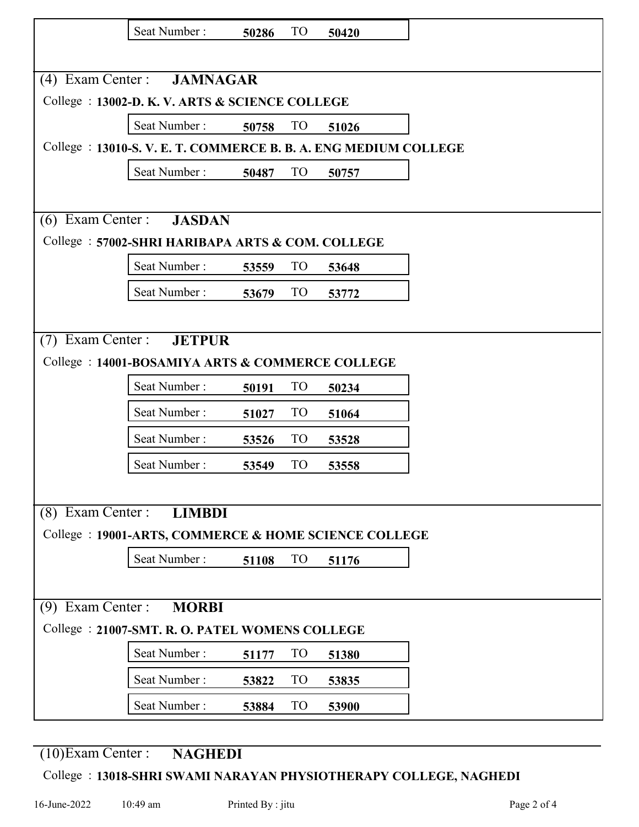|                                                                 | Seat Number:                                     | 50286 | TO              | 50420 |  |
|-----------------------------------------------------------------|--------------------------------------------------|-------|-----------------|-------|--|
|                                                                 |                                                  |       |                 |       |  |
|                                                                 | (4) Exam Center : <b>JAMNAGAR</b>                |       |                 |       |  |
|                                                                 | College : 13002-D. K. V. ARTS & SCIENCE COLLEGE  |       |                 |       |  |
|                                                                 | Seat Number: 50758                               |       | TO              | 51026 |  |
| College : 13010-S.V. E. T. COMMERCE B. B. A. ENG MEDIUM COLLEGE |                                                  |       |                 |       |  |
|                                                                 | Seat Number:                                     | 50487 | TO              | 50757 |  |
|                                                                 |                                                  |       |                 |       |  |
|                                                                 | (6) Exam Center : <b>JASDAN</b>                  |       |                 |       |  |
|                                                                 | College: 57002-SHRI HARIBAPA ARTS & COM. COLLEGE |       |                 |       |  |
|                                                                 | Seat Number:                                     | 53559 | TO              | 53648 |  |
|                                                                 | Seat Number:                                     | 53679 | <b>TO</b>       | 53772 |  |
|                                                                 |                                                  |       |                 |       |  |
|                                                                 | (7) Exam Center : JETPUR                         |       |                 |       |  |
|                                                                 | College: 14001-BOSAMIYA ARTS & COMMERCE COLLEGE  |       |                 |       |  |
|                                                                 | Seat Number:                                     | 50191 | TO <sub>1</sub> | 50234 |  |
|                                                                 | Seat Number:                                     | 51027 | <b>TO</b>       | 51064 |  |
|                                                                 | Seat Number:                                     | 53526 | <b>TO</b>       | 53528 |  |
|                                                                 | Seat Number:                                     | 53549 | <b>TO</b>       | 53558 |  |
|                                                                 |                                                  |       |                 |       |  |
| $(8)$ Exam Center :                                             | <b>LIMBDI</b>                                    |       |                 |       |  |
| College : 19001-ARTS, COMMERCE & HOME SCIENCE COLLEGE           |                                                  |       |                 |       |  |
|                                                                 | Seat Number:                                     | 51108 | <b>TO</b>       | 51176 |  |
|                                                                 |                                                  |       |                 |       |  |
| $(9)$ Exam Center :<br><b>MORBI</b>                             |                                                  |       |                 |       |  |
| College : 21007-SMT. R. O. PATEL WOMENS COLLEGE                 |                                                  |       |                 |       |  |
|                                                                 | Seat Number:                                     | 51177 | T <sub>O</sub>  | 51380 |  |
|                                                                 | Seat Number:                                     | 53822 | <b>TO</b>       | 53835 |  |
|                                                                 | Seat Number:                                     | 53884 | <b>TO</b>       | 53900 |  |

(10)Exam Center : **NAGHEDI**

## College : **13018-SHRI SWAMI NARAYAN PHYSIOTHERAPY COLLEGE, NAGHEDI**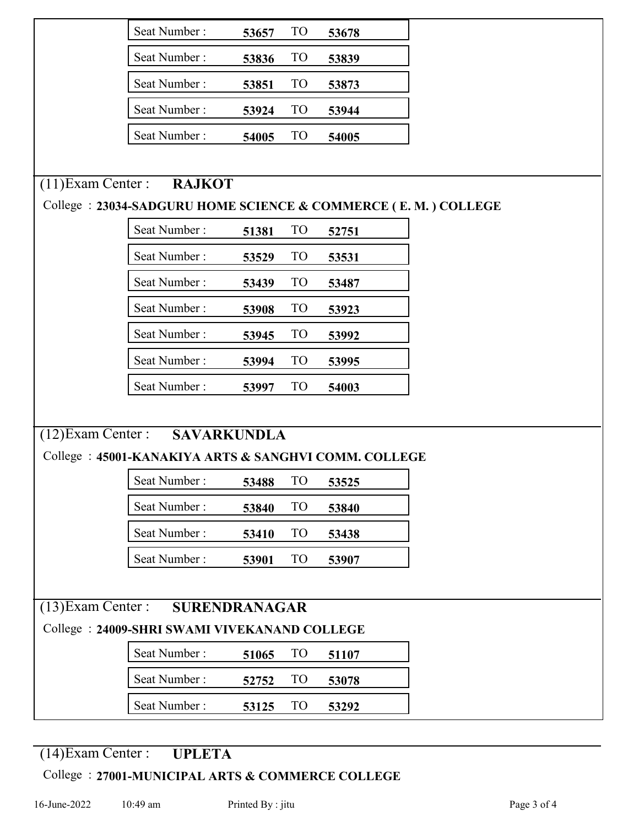|                                                      | Seat Number:                                                   | 53657 | <b>TO</b>       | 53678 |  |
|------------------------------------------------------|----------------------------------------------------------------|-------|-----------------|-------|--|
|                                                      | Seat Number:                                                   | 53836 | T <sub>O</sub>  | 53839 |  |
|                                                      | Seat Number:                                                   | 53851 | T <sub>O</sub>  | 53873 |  |
|                                                      | Seat Number:                                                   | 53924 | <b>TO</b>       | 53944 |  |
|                                                      | Seat Number:                                                   | 54005 | <b>TO</b>       | 54005 |  |
|                                                      |                                                                |       |                 |       |  |
| $(11)$ Exam Center :                                 | <b>RAJKOT</b>                                                  |       |                 |       |  |
|                                                      | College : 23034-SADGURU HOME SCIENCE & COMMERCE (E.M.) COLLEGE |       |                 |       |  |
|                                                      | Seat Number:                                                   | 51381 | T <sub>O</sub>  | 52751 |  |
|                                                      | Seat Number:                                                   | 53529 | T <sub>O</sub>  | 53531 |  |
|                                                      | Seat Number:                                                   | 53439 | T <sub>O</sub>  | 53487 |  |
|                                                      | Seat Number:                                                   | 53908 | T <sub>O</sub>  | 53923 |  |
|                                                      | Seat Number:                                                   | 53945 | <b>TO</b>       | 53992 |  |
|                                                      | Seat Number:                                                   | 53994 | T <sub>O</sub>  | 53995 |  |
|                                                      | Seat Number:                                                   | 53997 | <b>TO</b>       | 54003 |  |
|                                                      |                                                                |       |                 |       |  |
| $(12)$ Exam Center :                                 | <b>SAVARKUNDLA</b>                                             |       |                 |       |  |
| College: 45001-KANAKIYA ARTS & SANGHVI COMM. COLLEGE |                                                                |       |                 |       |  |
|                                                      | Seat Number:                                                   | 53488 | TO              | 53525 |  |
|                                                      | Seat Number:                                                   | 53840 | TO <sub>1</sub> | 53840 |  |
|                                                      | Seat Number:                                                   | 53410 | <b>TO</b>       | 53438 |  |
|                                                      | Seat Number:                                                   | 53901 | <b>TO</b>       | 53907 |  |
|                                                      |                                                                |       |                 |       |  |
| $(13)$ Exam Center :<br>SURENDRANAGAR                |                                                                |       |                 |       |  |
| College: 24009-SHRI SWAMI VIVEKANAND COLLEGE         |                                                                |       |                 |       |  |
|                                                      | Seat Number:                                                   | 51065 | <b>TO</b>       | 51107 |  |
|                                                      | Seat Number:                                                   | 52752 | TO <sub>1</sub> | 53078 |  |
|                                                      | Seat Number:                                                   | 53125 | TO <sub>1</sub> | 53292 |  |

## (14)Exam Center : **UPLETA**

## College : **27001-MUNICIPAL ARTS & COMMERCE COLLEGE**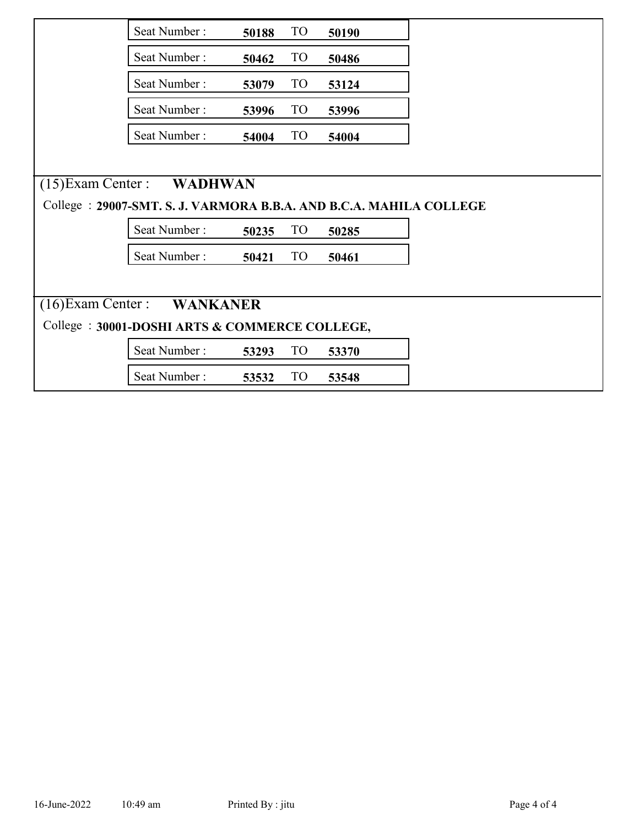|                                                                     | Seat Number:                    | 50188 | TO <sub>1</sub> | 50190 |  |
|---------------------------------------------------------------------|---------------------------------|-------|-----------------|-------|--|
|                                                                     | Seat Number:                    | 50462 | <b>TO</b>       | 50486 |  |
|                                                                     | Seat Number:                    | 53079 | TO <sub>1</sub> | 53124 |  |
|                                                                     | Seat Number:                    | 53996 | TO <sub>1</sub> | 53996 |  |
|                                                                     | Seat Number:                    | 54004 | TO              | 54004 |  |
|                                                                     |                                 |       |                 |       |  |
|                                                                     | $(15)$ Exam Center :<br>WADHWAN |       |                 |       |  |
| College : 29007-SMT. S. J. VARMORA B.B.A. AND B.C.A. MAHILA COLLEGE |                                 |       |                 |       |  |
|                                                                     | Seat Number:                    | 50235 | <b>TO</b>       | 50285 |  |
|                                                                     | Seat Number:                    | 50421 | TO              | 50461 |  |
|                                                                     |                                 |       |                 |       |  |
| (16) Exam Center : WANKANER                                         |                                 |       |                 |       |  |
| College: 30001-DOSHI ARTS & COMMERCE COLLEGE,                       |                                 |       |                 |       |  |
|                                                                     | Seat Number:                    | 53293 | <b>TO</b>       | 53370 |  |
|                                                                     | Seat Number:                    | 53532 | TO              | 53548 |  |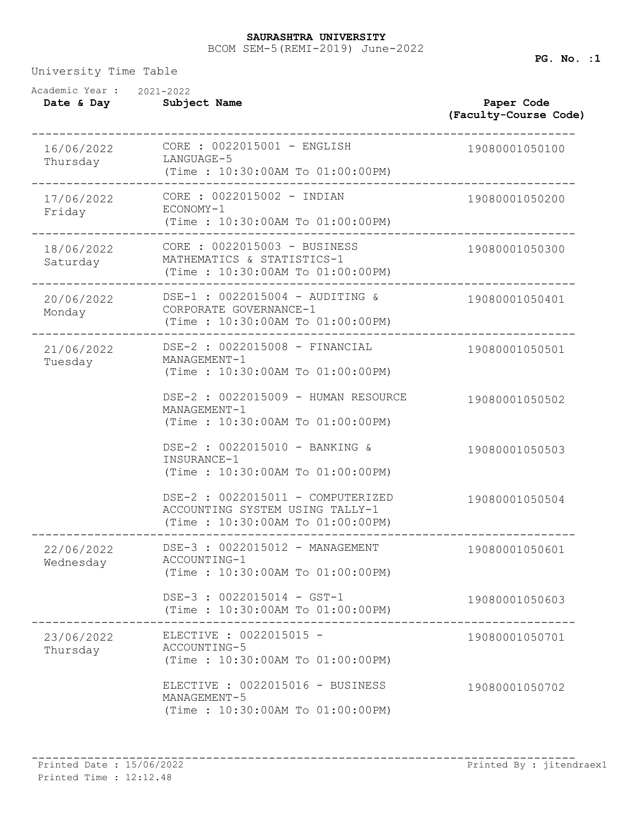## BCOM SEM-5(REMI-2019) June-2022 **SAURASHTRA UNIVERSITY**

University Time Table

| Academic Year :<br>Date & Day | 2021-2022<br>Subject Name                                                                                | Paper Code<br>(Faculty-Course Code) |
|-------------------------------|----------------------------------------------------------------------------------------------------------|-------------------------------------|
| 16/06/2022<br>Thursday        | CORE : 0022015001 - ENGLISH<br>LANGUAGE-5<br>(Time: 10:30:00AM To 01:00:00PM)                            | 19080001050100                      |
| 17/06/2022<br>Friday          | CORE : 0022015002 - INDIAN<br>ECONOMY-1<br>(Time: 10:30:00AM To 01:00:00PM)                              | 19080001050200                      |
| 18/06/2022<br>Saturday        | CORE : 0022015003 - BUSINESS<br>MATHEMATICS & STATISTICS-1<br>(Time: 10:30:00AM To 01:00:00PM)           | 19080001050300                      |
| 20/06/2022<br>Monday          | DSE-1 : 0022015004 - AUDITING &<br>CORPORATE GOVERNANCE-1<br>(Time: 10:30:00AM To 01:00:00PM)            | 19080001050401                      |
| 21/06/2022<br>Tuesday         | DSE-2 : 0022015008 - FINANCIAL<br>MANAGEMENT-1<br>(Time : 10:30:00AM To 01:00:00PM)                      | 19080001050501                      |
|                               | DSE-2 : 0022015009 - HUMAN RESOURCE<br>MANAGEMENT-1<br>(Time : 10:30:00AM To 01:00:00PM)                 | 19080001050502                      |
|                               | DSE-2 : 0022015010 - BANKING &<br>INSURANCE-1<br>(Time: 10:30:00AM To 01:00:00PM)                        | 19080001050503                      |
|                               | DSE-2 : 0022015011 - COMPUTERIZED<br>ACCOUNTING SYSTEM USING TALLY-1<br>(Time: 10:30:00AM To 01:00:00PM) | 19080001050504                      |
| 22/06/2022<br>Wednesday       | DSE-3 : 0022015012 - MANAGEMENT<br>ACCOUNTING-1<br>(Time: 10:30:00AM To 01:00:00PM)                      | 19080001050601                      |
|                               | DSE-3 : 0022015014 - GST-1<br>(Time: 10:30:00AM To 01:00:00PM)<br>------------------                     | 19080001050603                      |
| 23/06/2022<br>Thursday        | ELECTIVE : 0022015015 -<br>ACCOUNTING-5<br>(Time: 10:30:00AM To 01:00:00PM)                              | 19080001050701                      |
|                               | ELECTIVE : 0022015016 - BUSINESS<br>MANAGEMENT-5<br>(Time: 10:30:00AM To 01:00:00PM)                     | 19080001050702                      |

**PG. No. :1**